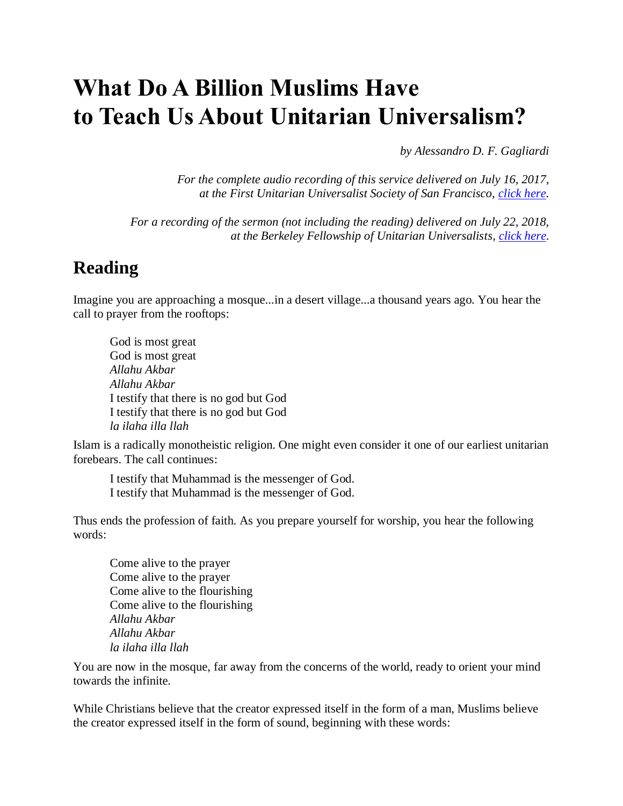## **What Do A Billion Muslims Have to Teach Us About Unitarian Universalism?**

*by Alessandro D. F. Gagliardi*

*For the complete audio recording of this service delivered on July 16, 2017, at the First Unitarian Universalist Society of San Francisco, [click here.](http://content.uusf.org/podcast/20170716AGComplete.mp3)*

*For a recording of the sermon (not including the reading) delivered on July 22, 2018, at the Berkeley Fellowship of Unitarian Universalists, [click here.](http://bfuu.org/images/audio/180722.mp3)*

## **Reading**

Imagine you are approaching a mosque...in a desert village...a thousand years ago. You hear the call to prayer from the rooftops:

God is most great God is most great *Allahu Akbar Allahu Akbar* I testify that there is no god but God I testify that there is no god but God *la ilaha illa llah*

Islam is a radically monotheistic religion. One might even consider it one of our earliest unitarian forebears. The call continues:

I testify that Muhammad is the messenger of God. I testify that Muhammad is the messenger of God.

Thus ends the profession of faith. As you prepare yourself for worship, you hear the following words:

Come alive to the prayer Come alive to the prayer Come alive to the flourishing Come alive to the flourishing *Allahu Akbar Allahu Akbar la ilaha illa llah*

You are now in the mosque, far away from the concerns of the world, ready to orient your mind towards the infinite.

While Christians believe that the creator expressed itself in the form of a man, Muslims believe the creator expressed itself in the form of sound, beginning with these words: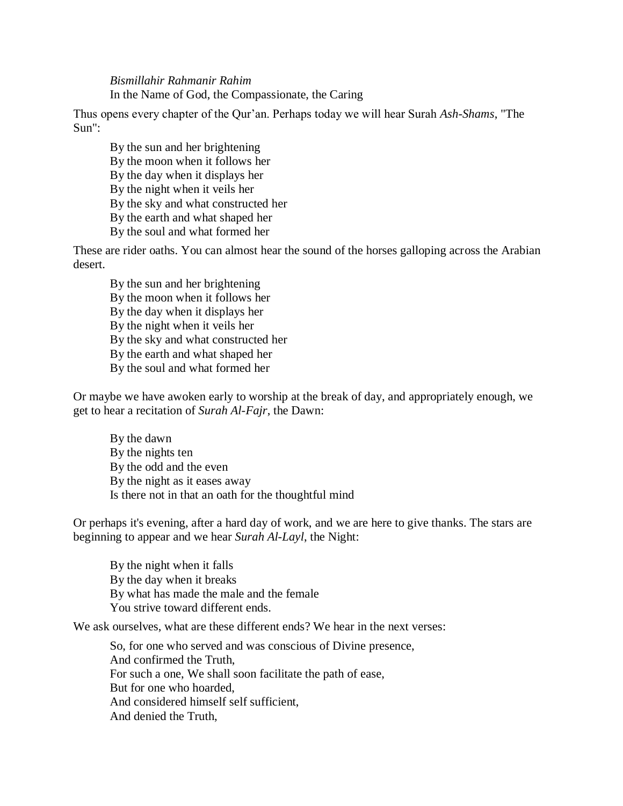*Bismillahir Rahmanir Rahim*  In the Name of God, the Compassionate, the Caring

Thus opens every chapter of the Qur'an. Perhaps today we will hear Surah *Ash-Shams*, "The Sun":

By the sun and her brightening By the moon when it follows her By the day when it displays her By the night when it veils her By the sky and what constructed her By the earth and what shaped her By the soul and what formed her

These are rider oaths. You can almost hear the sound of the horses galloping across the Arabian desert.

By the sun and her brightening By the moon when it follows her By the day when it displays her By the night when it veils her By the sky and what constructed her By the earth and what shaped her By the soul and what formed her

Or maybe we have awoken early to worship at the break of day, and appropriately enough, we get to hear a recitation of *Surah Al-Fajr*, the Dawn:

By the dawn By the nights ten By the odd and the even By the night as it eases away Is there not in that an oath for the thoughtful mind

Or perhaps it's evening, after a hard day of work, and we are here to give thanks. The stars are beginning to appear and we hear *Surah Al-Layl*, the Night:

By the night when it falls By the day when it breaks By what has made the male and the female You strive toward different ends.

We ask ourselves, what are these different ends? We hear in the next verses:

So, for one who served and was conscious of Divine presence, And confirmed the Truth, For such a one, We shall soon facilitate the path of ease, But for one who hoarded, And considered himself self sufficient, And denied the Truth,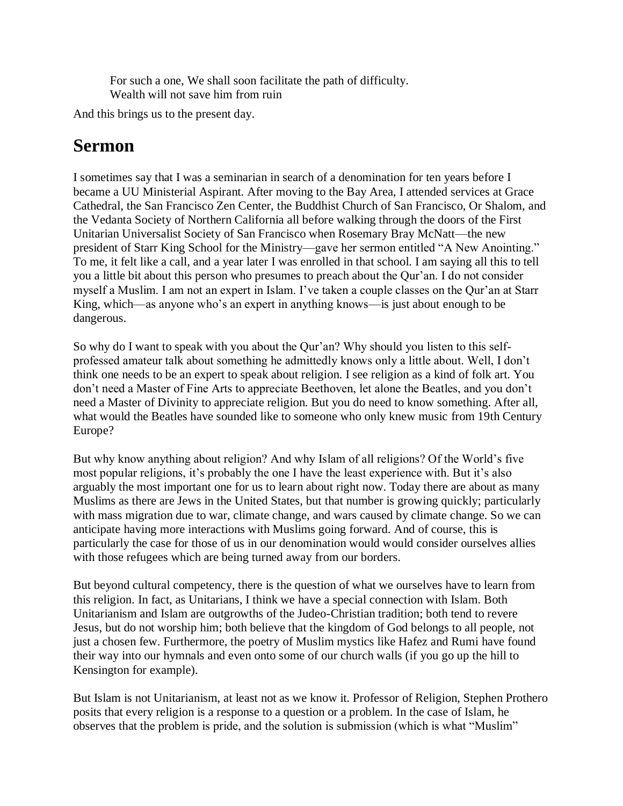For such a one, We shall soon facilitate the path of difficulty. Wealth will not save him from ruin

And this brings us to the present day.

## **Sermon**

I sometimes say that I was a seminarian in search of a denomination for ten years before I became a UU Ministerial Aspirant. After moving to the Bay Area, I attended services at Grace Cathedral, the San Francisco Zen Center, the Buddhist Church of San Francisco, Or Shalom, and the Vedanta Society of Northern California all before walking through the doors of the First Unitarian Universalist Society of San Francisco when Rosemary Bray McNatt—the new president of Starr King School for the Ministry—gave her sermon entitled "A New Anointing." To me, it felt like a call, and a year later I was enrolled in that school. I am saying all this to tell you a little bit about this person who presumes to preach about the Qur'an. I do not consider myself a Muslim. I am not an expert in Islam. I've taken a couple classes on the Qur'an at Starr King, which—as anyone who's an expert in anything knows—is just about enough to be dangerous.

So why do I want to speak with you about the Qur'an? Why should you listen to this selfprofessed amateur talk about something he admittedly knows only a little about. Well, I don't think one needs to be an expert to speak about religion. I see religion as a kind of folk art. You don't need a Master of Fine Arts to appreciate Beethoven, let alone the Beatles, and you don't need a Master of Divinity to appreciate religion. But you do need to know something. After all, what would the Beatles have sounded like to someone who only knew music from 19th Century Europe?

But why know anything about religion? And why Islam of all religions? Of the World's five most popular religions, it's probably the one I have the least experience with. But it's also arguably the most important one for us to learn about right now. Today there are about as many Muslims as there are Jews in the United States, but that number is growing quickly; particularly with mass migration due to war, climate change, and wars caused by climate change. So we can anticipate having more interactions with Muslims going forward. And of course, this is particularly the case for those of us in our denomination would would consider ourselves allies with those refugees which are being turned away from our borders.

But beyond cultural competency, there is the question of what we ourselves have to learn from this religion. In fact, as Unitarians, I think we have a special connection with Islam. Both Unitarianism and Islam are outgrowths of the Judeo-Christian tradition; both tend to revere Jesus, but do not worship him; both believe that the kingdom of God belongs to all people, not just a chosen few. Furthermore, the poetry of Muslim mystics like Hafez and Rumi have found their way into our hymnals and even onto some of our church walls (if you go up the hill to Kensington for example).

But Islam is not Unitarianism, at least not as we know it. Professor of Religion, Stephen Prothero posits that every religion is a response to a question or a problem. In the case of Islam, he observes that the problem is pride, and the solution is submission (which is what "Muslim"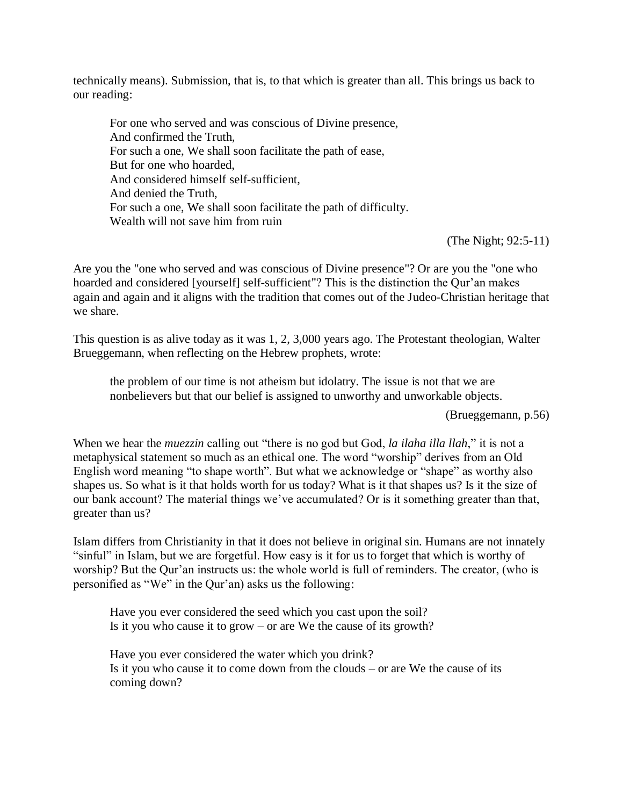technically means). Submission, that is, to that which is greater than all. This brings us back to our reading:

For one who served and was conscious of Divine presence, And confirmed the Truth, For such a one, We shall soon facilitate the path of ease, But for one who hoarded, And considered himself self-sufficient, And denied the Truth, For such a one, We shall soon facilitate the path of difficulty. Wealth will not save him from ruin

(The Night; 92:5-11)

Are you the "one who served and was conscious of Divine presence"? Or are you the "one who hoarded and considered [yourself] self-sufficient"? This is the distinction the Qur'an makes again and again and it aligns with the tradition that comes out of the Judeo-Christian heritage that we share.

This question is as alive today as it was 1, 2, 3,000 years ago. The Protestant theologian, Walter Brueggemann, when reflecting on the Hebrew prophets, wrote:

the problem of our time is not atheism but idolatry. The issue is not that we are nonbelievers but that our belief is assigned to unworthy and unworkable objects.

(Brueggemann, p.56)

When we hear the *muezzin* calling out "there is no god but God, *la ilaha illa llah*," it is not a metaphysical statement so much as an ethical one. The word "worship" derives from an Old English word meaning "to shape worth". But what we acknowledge or "shape" as worthy also shapes us. So what is it that holds worth for us today? What is it that shapes us? Is it the size of our bank account? The material things we've accumulated? Or is it something greater than that, greater than us?

Islam differs from Christianity in that it does not believe in original sin. Humans are not innately "sinful" in Islam, but we are forgetful. How easy is it for us to forget that which is worthy of worship? But the Qur'an instructs us: the whole world is full of reminders. The creator, (who is personified as "We" in the Qur'an) asks us the following:

Have you ever considered the seed which you cast upon the soil? Is it you who cause it to grow – or are We the cause of its growth?

Have you ever considered the water which you drink? Is it you who cause it to come down from the clouds – or are We the cause of its coming down?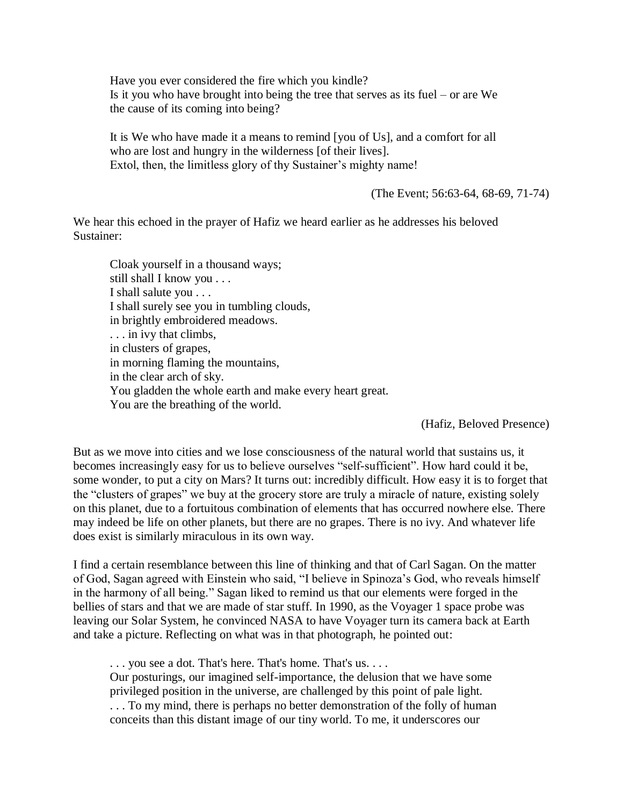Have you ever considered the fire which you kindle? Is it you who have brought into being the tree that serves as its fuel – or are We the cause of its coming into being?

It is We who have made it a means to remind [you of Us], and a comfort for all who are lost and hungry in the wilderness [of their lives]. Extol, then, the limitless glory of thy Sustainer's mighty name!

(The Event; 56:63-64, 68-69, 71-74)

We hear this echoed in the prayer of Hafiz we heard earlier as he addresses his beloved Sustainer:

Cloak yourself in a thousand ways; still shall I know you . . . I shall salute you . . . I shall surely see you in tumbling clouds, in brightly embroidered meadows. ... in ivy that climbs, in clusters of grapes, in morning flaming the mountains, in the clear arch of sky. You gladden the whole earth and make every heart great. You are the breathing of the world.

(Hafiz, Beloved Presence)

But as we move into cities and we lose consciousness of the natural world that sustains us, it becomes increasingly easy for us to believe ourselves "self-sufficient". How hard could it be, some wonder, to put a city on Mars? It turns out: incredibly difficult. How easy it is to forget that the "clusters of grapes" we buy at the grocery store are truly a miracle of nature, existing solely on this planet, due to a fortuitous combination of elements that has occurred nowhere else. There may indeed be life on other planets, but there are no grapes. There is no ivy. And whatever life does exist is similarly miraculous in its own way.

I find a certain resemblance between this line of thinking and that of Carl Sagan. On the matter of God, Sagan agreed with Einstein who said, "I believe in Spinoza's God, who reveals himself in the harmony of all being." Sagan liked to remind us that our elements were forged in the bellies of stars and that we are made of star stuff. In 1990, as the Voyager 1 space probe was leaving our Solar System, he convinced NASA to have Voyager turn its camera back at Earth and take a picture. Reflecting on what was in that photograph, he pointed out:

. . . you see a dot. That's here. That's home. That's us. . . . Our posturings, our imagined self-importance, the delusion that we have some privileged position in the universe, are challenged by this point of pale light. ... To my mind, there is perhaps no better demonstration of the folly of human conceits than this distant image of our tiny world. To me, it underscores our